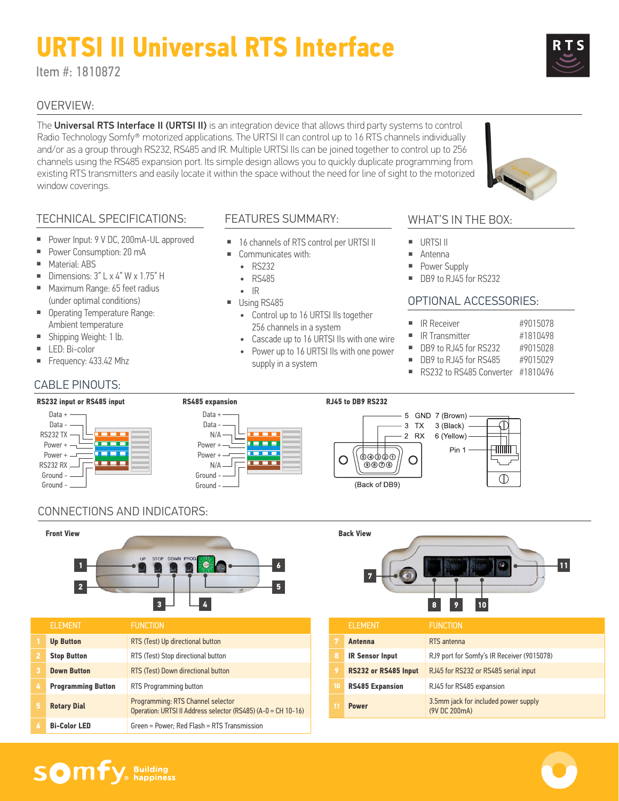# **URTSI II Universal RTS Interface**

Item #: 1810872

## OVERVIEW:

The Universal RTS Interface II (URTSI II) is an integration device that allows third party systems to control Radio Technology Somfy® motorized applications. The URTSI II can control up to 16 RTS channels individually and/or as a group through RS232, RS485 and IR. Multiple URTSI IIs can be joined together to control up to 256 channels using the RS485 expansion port. Its simple design allows you to quickly duplicate programming from existing RTS transmitters and easily locate it within the space without the need for line of sight to the motorized window coverings.

## TECHNICAL SPECIFICATIONS:

- Power Input: 9 V DC, 200mA-UL approved
- Power Consumption: 20 mA
- Material: ABS
- Dimensions:  $3"$  L x  $4"$  W x 1.75" H
- Maximum Range: 65 feet radius (under optimal conditions)
- Operating Temperature Range: Ambient temperature
- Shipping Weight: 1 lb.
- LED: Bi-color
- Frequency: 433.42 Mhz

## CABLE PINOUTS:

## FEATURES SUMMARY:

- 16 channels of RTS control per URTSI II
	- Communicates with:
	- RS232
	- RS485
	- IR
- Using RS485
	- Control up to 16 URTSI IIs together 256 channels in a system
	- Cascade up to 16 URTSI IIs with one wire
	- Power up to 16 URTSI IIs with one power supply in a system

#### WHAT'S IN THE BOX:

- URTSI II
- 
- 
- 

#### OPTIONAL ACCESSORIES:

- 
- IR Transmitter #1810498
- DB9 to RJ45 for RS232 #9015028
- DB9 to RJ45 for RS485 #9015029
- RS232 to RS485 Converter #1810496



# CONNECTIONS AND INDICATORS:



|                | <b>ELEMENT</b>            | <b>FUNCTION</b>                                                                                    |
|----------------|---------------------------|----------------------------------------------------------------------------------------------------|
|                | <b>Up Button</b>          | RTS (Test) Up directional button                                                                   |
| $\overline{2}$ | <b>Stop Button</b>        | RTS (Test) Stop directional button                                                                 |
| 3              | <b>Down Button</b>        | RTS (Test) Down directional button                                                                 |
| 4              | <b>Programming Button</b> | RTS Programming button                                                                             |
| 5              | <b>Rotary Dial</b>        | Programming: RTS Channel selector<br>Operation: URTSI II Address selector (RS485) (A-0 = CH 10-16) |
| 6              | <b>Bi-Color LED</b>       | Green = Power: Red Flash = RTS Transmission                                                        |



|    | <b>ELEMENT</b>         | <b>FUNCTION</b>                                       |
|----|------------------------|-------------------------------------------------------|
|    | Antenna                | RTS antenna                                           |
| 8  | <b>IR Sensor Input</b> | RJ9 port for Somfy's IR Receiver (9015078)            |
| 9  | RS232 or RS485 Input   | RJ45 for RS232 or RS485 serial input                  |
| 10 | <b>RS485 Expansion</b> | RJ45 for RS485 expansion                              |
|    | <b>Power</b>           | 3.5mm jack for included power supply<br>(9V DC 200mA) |

- 
- Antenna
- Power Supply
- DB9 to RJ45 for RS232

- IR Receiver #9015078
	- -
	-
- 
-